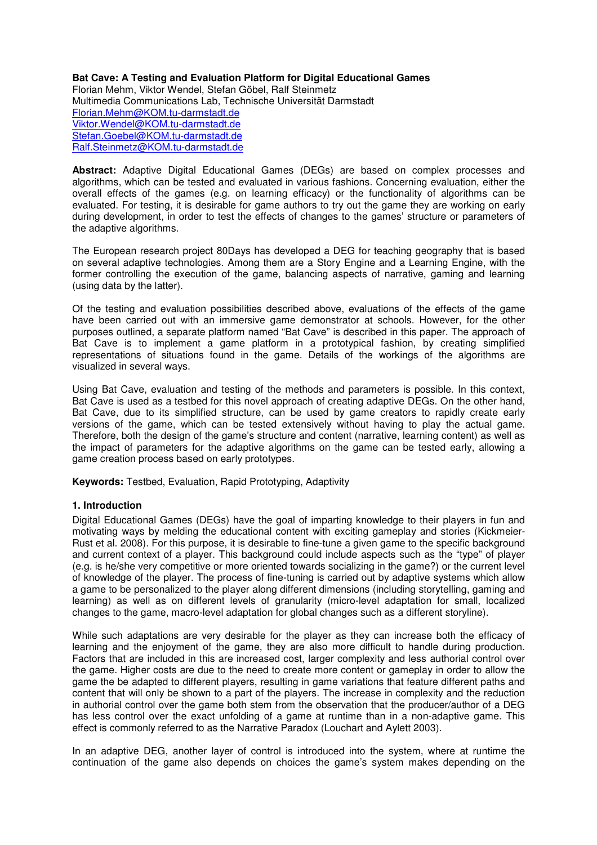#### **Bat Cave: A Testing and Evaluation Platform for Digital Educational Games**

Florian Mehm, Viktor Wendel, Stefan Göbel, Ralf Steinmetz Multimedia Communications Lab, Technische Universität Darmstadt Florian.Mehm@KOM.tu-darmstadt.de Viktor.Wendel@KOM.tu-darmstadt.de Stefan.Goebel@KOM.tu-darmstadt.de Ralf.Steinmetz@KOM.tu-darmstadt.de

**Abstract:** Adaptive Digital Educational Games (DEGs) are based on complex processes and algorithms, which can be tested and evaluated in various fashions. Concerning evaluation, either the overall effects of the games (e.g. on learning efficacy) or the functionality of algorithms can be evaluated. For testing, it is desirable for game authors to try out the game they are working on early during development, in order to test the effects of changes to the games' structure or parameters of the adaptive algorithms.

The European research project 80Days has developed a DEG for teaching geography that is based on several adaptive technologies. Among them are a Story Engine and a Learning Engine, with the former controlling the execution of the game, balancing aspects of narrative, gaming and learning (using data by the latter).

Of the testing and evaluation possibilities described above, evaluations of the effects of the game have been carried out with an immersive game demonstrator at schools. However, for the other purposes outlined, a separate platform named "Bat Cave" is described in this paper. The approach of Bat Cave is to implement a game platform in a prototypical fashion, by creating simplified representations of situations found in the game. Details of the workings of the algorithms are visualized in several ways.

Using Bat Cave, evaluation and testing of the methods and parameters is possible. In this context, Bat Cave is used as a testbed for this novel approach of creating adaptive DEGs. On the other hand, Bat Cave, due to its simplified structure, can be used by game creators to rapidly create early versions of the game, which can be tested extensively without having to play the actual game. Therefore, both the design of the game's structure and content (narrative, learning content) as well as the impact of parameters for the adaptive algorithms on the game can be tested early, allowing a game creation process based on early prototypes.

**Keywords:** Testbed, Evaluation, Rapid Prototyping, Adaptivity

## **1. Introduction**

Digital Educational Games (DEGs) have the goal of imparting knowledge to their players in fun and motivating ways by melding the educational content with exciting gameplay and stories (Kickmeier-Rust et al. 2008). For this purpose, it is desirable to fine-tune a given game to the specific background and current context of a player. This background could include aspects such as the "type" of player (e.g. is he/she very competitive or more oriented towards socializing in the game?) or the current level of knowledge of the player. The process of fine-tuning is carried out by adaptive systems which allow a game to be personalized to the player along different dimensions (including storytelling, gaming and learning) as well as on different levels of granularity (micro-level adaptation for small, localized changes to the game, macro-level adaptation for global changes such as a different storyline).

While such adaptations are very desirable for the player as they can increase both the efficacy of learning and the enjoyment of the game, they are also more difficult to handle during production. Factors that are included in this are increased cost, larger complexity and less authorial control over the game. Higher costs are due to the need to create more content or gameplay in order to allow the game the be adapted to different players, resulting in game variations that feature different paths and content that will only be shown to a part of the players. The increase in complexity and the reduction in authorial control over the game both stem from the observation that the producer/author of a DEG has less control over the exact unfolding of a game at runtime than in a non-adaptive game. This effect is commonly referred to as the Narrative Paradox (Louchart and Aylett 2003).

In an adaptive DEG, another layer of control is introduced into the system, where at runtime the continuation of the game also depends on choices the game's system makes depending on the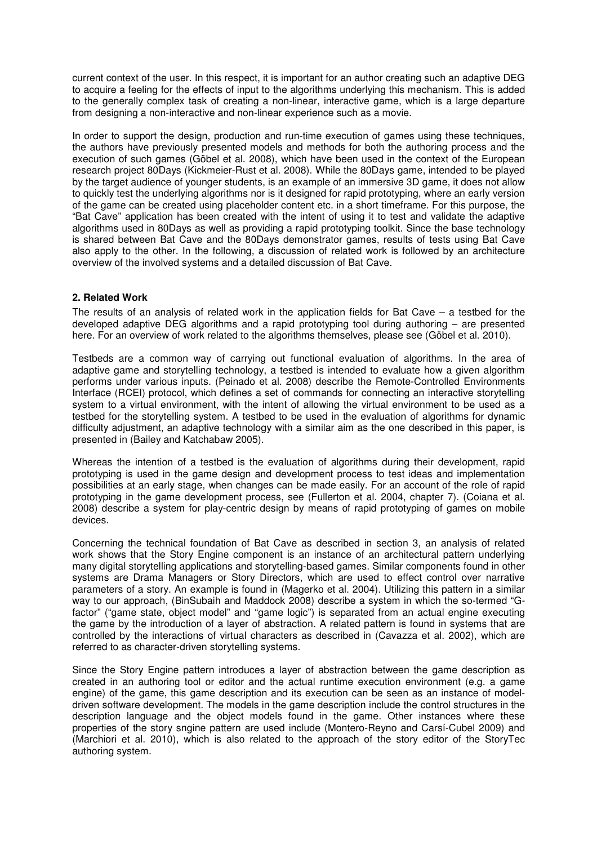current context of the user. In this respect, it is important for an author creating such an adaptive DEG to acquire a feeling for the effects of input to the algorithms underlying this mechanism. This is added to the generally complex task of creating a non-linear, interactive game, which is a large departure from designing a non-interactive and non-linear experience such as a movie.

In order to support the design, production and run-time execution of games using these techniques, the authors have previously presented models and methods for both the authoring process and the execution of such games (Göbel et al. 2008), which have been used in the context of the European research project 80Days (Kickmeier-Rust et al. 2008). While the 80Days game, intended to be played by the target audience of younger students, is an example of an immersive 3D game, it does not allow to quickly test the underlying algorithms nor is it designed for rapid prototyping, where an early version of the game can be created using placeholder content etc. in a short timeframe. For this purpose, the "Bat Cave" application has been created with the intent of using it to test and validate the adaptive algorithms used in 80Days as well as providing a rapid prototyping toolkit. Since the base technology is shared between Bat Cave and the 80Days demonstrator games, results of tests using Bat Cave also apply to the other. In the following, a discussion of related work is followed by an architecture overview of the involved systems and a detailed discussion of Bat Cave.

### **2. Related Work**

The results of an analysis of related work in the application fields for Bat Cave – a testbed for the developed adaptive DEG algorithms and a rapid prototyping tool during authoring – are presented here. For an overview of work related to the algorithms themselves, please see (Göbel et al. 2010).

Testbeds are a common way of carrying out functional evaluation of algorithms. In the area of adaptive game and storytelling technology, a testbed is intended to evaluate how a given algorithm performs under various inputs. (Peinado et al. 2008) describe the Remote-Controlled Environments Interface (RCEI) protocol, which defines a set of commands for connecting an interactive storytelling system to a virtual environment, with the intent of allowing the virtual environment to be used as a testbed for the storytelling system. A testbed to be used in the evaluation of algorithms for dynamic difficulty adjustment, an adaptive technology with a similar aim as the one described in this paper, is presented in (Bailey and Katchabaw 2005).

Whereas the intention of a testbed is the evaluation of algorithms during their development, rapid prototyping is used in the game design and development process to test ideas and implementation possibilities at an early stage, when changes can be made easily. For an account of the role of rapid prototyping in the game development process, see (Fullerton et al. 2004, chapter 7). (Coiana et al. 2008) describe a system for play-centric design by means of rapid prototyping of games on mobile devices.

Concerning the technical foundation of Bat Cave as described in section 3, an analysis of related work shows that the Story Engine component is an instance of an architectural pattern underlying many digital storytelling applications and storytelling-based games. Similar components found in other systems are Drama Managers or Story Directors, which are used to effect control over narrative parameters of a story. An example is found in (Magerko et al. 2004). Utilizing this pattern in a similar way to our approach, (BinSubaih and Maddock 2008) describe a system in which the so-termed "Gfactor" ("game state, object model" and "game logic") is separated from an actual engine executing the game by the introduction of a layer of abstraction. A related pattern is found in systems that are controlled by the interactions of virtual characters as described in (Cavazza et al. 2002), which are referred to as character-driven storytelling systems.

Since the Story Engine pattern introduces a layer of abstraction between the game description as created in an authoring tool or editor and the actual runtime execution environment (e.g. a game engine) of the game, this game description and its execution can be seen as an instance of modeldriven software development. The models in the game description include the control structures in the description language and the object models found in the game. Other instances where these properties of the story sngine pattern are used include (Montero-Reyno and Carsí-Cubel 2009) and (Marchiori et al. 2010), which is also related to the approach of the story editor of the StoryTec authoring system.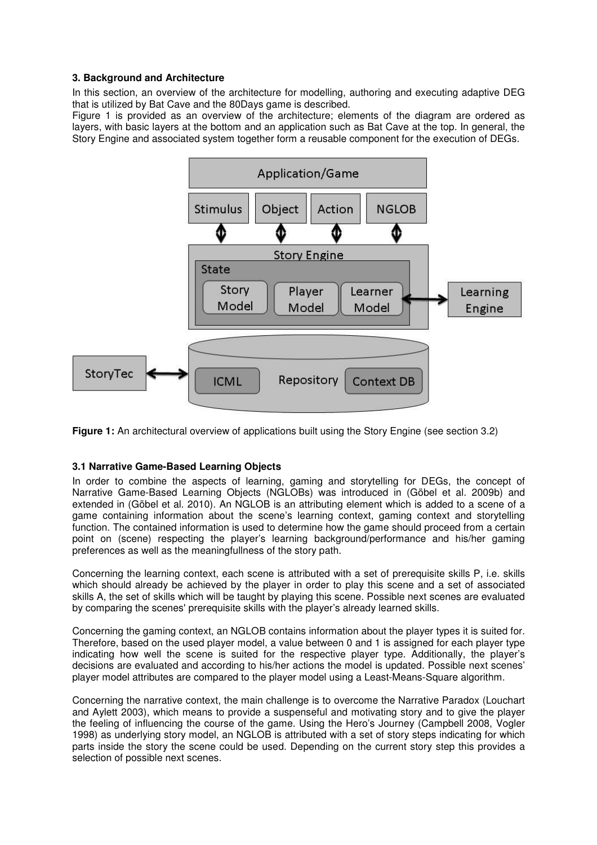# **3. Background and Architecture**

In this section, an overview of the architecture for modelling, authoring and executing adaptive DEG that is utilized by Bat Cave and the 80Days game is described.

Figure 1 is provided as an overview of the architecture; elements of the diagram are ordered as layers, with basic layers at the bottom and an application such as Bat Cave at the top. In general, the Story Engine and associated system together form a reusable component for the execution of DEGs.



**Figure 1:** An architectural overview of applications built using the Story Engine (see section 3.2)

## **3.1 Narrative Game-Based Learning Objects**

In order to combine the aspects of learning, gaming and storytelling for DEGs, the concept of Narrative Game-Based Learning Objects (NGLOBs) was introduced in (Göbel et al. 2009b) and extended in (Göbel et al. 2010). An NGLOB is an attributing element which is added to a scene of a game containing information about the scene's learning context, gaming context and storytelling function. The contained information is used to determine how the game should proceed from a certain point on (scene) respecting the player's learning background/performance and his/her gaming preferences as well as the meaningfullness of the story path.

Concerning the learning context, each scene is attributed with a set of prerequisite skills P, i.e. skills which should already be achieved by the player in order to play this scene and a set of associated skills A, the set of skills which will be taught by playing this scene. Possible next scenes are evaluated by comparing the scenes' prerequisite skills with the player's already learned skills.

Concerning the gaming context, an NGLOB contains information about the player types it is suited for. Therefore, based on the used player model, a value between 0 and 1 is assigned for each player type indicating how well the scene is suited for the respective player type. Additionally, the player's decisions are evaluated and according to his/her actions the model is updated. Possible next scenes' player model attributes are compared to the player model using a Least-Means-Square algorithm.

Concerning the narrative context, the main challenge is to overcome the Narrative Paradox (Louchart and Aylett 2003), which means to provide a suspenseful and motivating story and to give the player the feeling of influencing the course of the game. Using the Hero's Journey (Campbell 2008, Vogler 1998) as underlying story model, an NGLOB is attributed with a set of story steps indicating for which parts inside the story the scene could be used. Depending on the current story step this provides a selection of possible next scenes.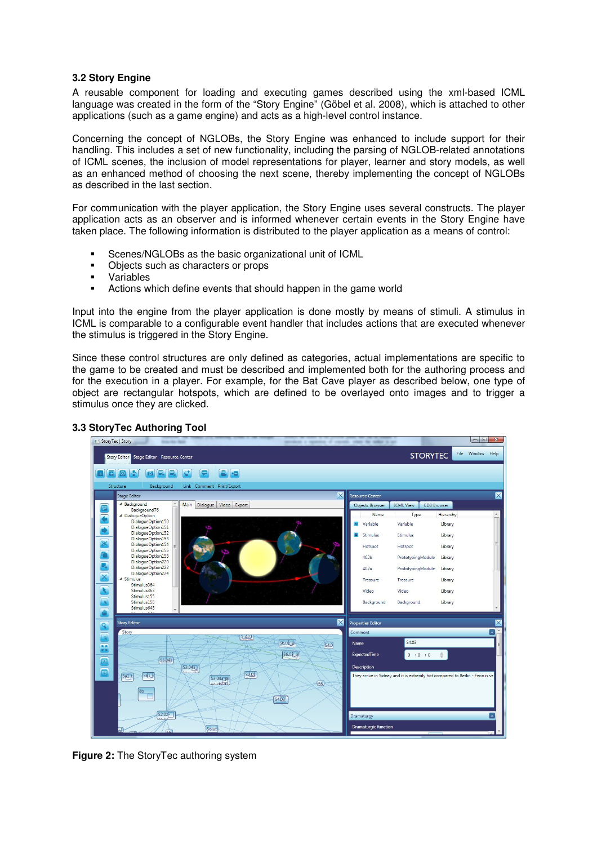### **3.2 Story Engine**

A reusable component for loading and executing games described using the xml-based ICML language was created in the form of the "Story Engine" (Göbel et al. 2008), which is attached to other applications (such as a game engine) and acts as a high-level control instance.

Concerning the concept of NGLOBs, the Story Engine was enhanced to include support for their handling. This includes a set of new functionality, including the parsing of NGLOB-related annotations of ICML scenes, the inclusion of model representations for player, learner and story models, as well as an enhanced method of choosing the next scene, thereby implementing the concept of NGLOBs as described in the last section.

For communication with the player application, the Story Engine uses several constructs. The player application acts as an observer and is informed whenever certain events in the Story Engine have taken place. The following information is distributed to the player application as a means of control:

- Scenes/NGLOBs as the basic organizational unit of ICML
- Objects such as characters or props
- Variables
- **EXECT** Actions which define events that should happen in the game world

Input into the engine from the player application is done mostly by means of stimuli. A stimulus in ICML is comparable to a configurable event handler that includes actions that are executed whenever the stimulus is triggered in the Story Engine.

Since these control structures are only defined as categories, actual implementations are specific to the game to be created and must be described and implemented both for the authoring process and for the execution in a player. For example, for the Bat Cave player as described below, one type of object are rectangular hotspots, which are defined to be overlayed onto images and to trigger a stimulus once they are clicked.



### **3.3 StoryTec Authoring Tool**

**Figure 2:** The StoryTec authoring system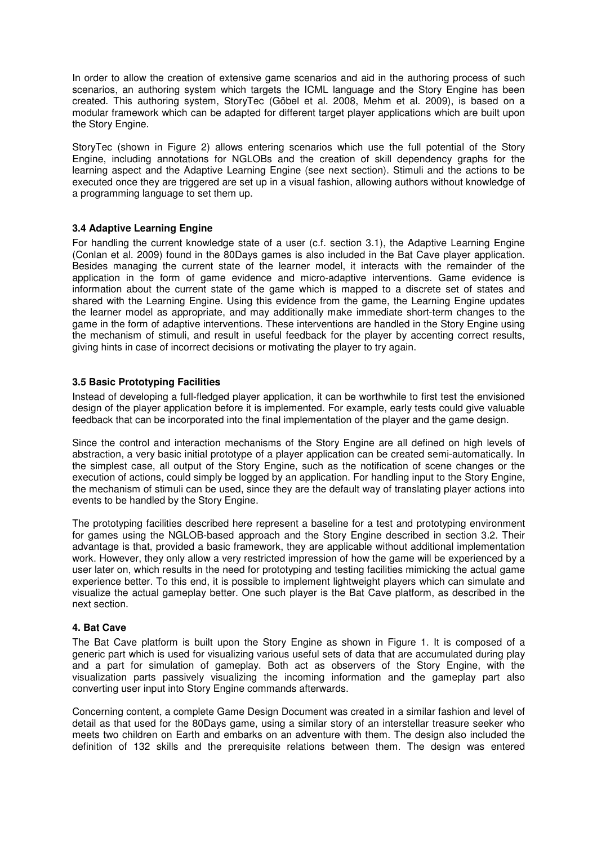In order to allow the creation of extensive game scenarios and aid in the authoring process of such scenarios, an authoring system which targets the ICML language and the Story Engine has been created. This authoring system, StoryTec (Göbel et al. 2008, Mehm et al. 2009), is based on a modular framework which can be adapted for different target player applications which are built upon the Story Engine.

StoryTec (shown in Figure 2) allows entering scenarios which use the full potential of the Story Engine, including annotations for NGLOBs and the creation of skill dependency graphs for the learning aspect and the Adaptive Learning Engine (see next section). Stimuli and the actions to be executed once they are triggered are set up in a visual fashion, allowing authors without knowledge of a programming language to set them up.

# **3.4 Adaptive Learning Engine**

For handling the current knowledge state of a user (c.f. section 3.1), the Adaptive Learning Engine (Conlan et al. 2009) found in the 80Days games is also included in the Bat Cave player application. Besides managing the current state of the learner model, it interacts with the remainder of the application in the form of game evidence and micro-adaptive interventions. Game evidence is information about the current state of the game which is mapped to a discrete set of states and shared with the Learning Engine. Using this evidence from the game, the Learning Engine updates the learner model as appropriate, and may additionally make immediate short-term changes to the game in the form of adaptive interventions. These interventions are handled in the Story Engine using the mechanism of stimuli, and result in useful feedback for the player by accenting correct results, giving hints in case of incorrect decisions or motivating the player to try again.

# **3.5 Basic Prototyping Facilities**

Instead of developing a full-fledged player application, it can be worthwhile to first test the envisioned design of the player application before it is implemented. For example, early tests could give valuable feedback that can be incorporated into the final implementation of the player and the game design.

Since the control and interaction mechanisms of the Story Engine are all defined on high levels of abstraction, a very basic initial prototype of a player application can be created semi-automatically. In the simplest case, all output of the Story Engine, such as the notification of scene changes or the execution of actions, could simply be logged by an application. For handling input to the Story Engine, the mechanism of stimuli can be used, since they are the default way of translating player actions into events to be handled by the Story Engine.

The prototyping facilities described here represent a baseline for a test and prototyping environment for games using the NGLOB-based approach and the Story Engine described in section 3.2. Their advantage is that, provided a basic framework, they are applicable without additional implementation work. However, they only allow a very restricted impression of how the game will be experienced by a user later on, which results in the need for prototyping and testing facilities mimicking the actual game experience better. To this end, it is possible to implement lightweight players which can simulate and visualize the actual gameplay better. One such player is the Bat Cave platform, as described in the next section.

## **4. Bat Cave**

The Bat Cave platform is built upon the Story Engine as shown in Figure 1. It is composed of a generic part which is used for visualizing various useful sets of data that are accumulated during play and a part for simulation of gameplay. Both act as observers of the Story Engine, with the visualization parts passively visualizing the incoming information and the gameplay part also converting user input into Story Engine commands afterwards.

Concerning content, a complete Game Design Document was created in a similar fashion and level of detail as that used for the 80Days game, using a similar story of an interstellar treasure seeker who meets two children on Earth and embarks on an adventure with them. The design also included the definition of 132 skills and the prerequisite relations between them. The design was entered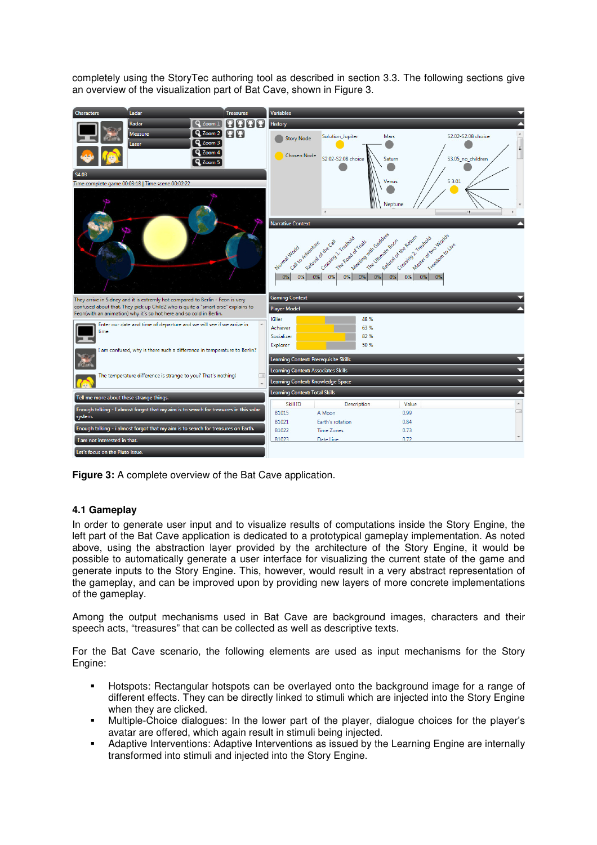completely using the StoryTec authoring tool as described in section 3.3. The following sections give an overview of the visualization part of Bat Cave, shown in Figure 3.



**Figure 3:** A complete overview of the Bat Cave application.

## **4.1 Gameplay**

In order to generate user input and to visualize results of computations inside the Story Engine, the left part of the Bat Cave application is dedicated to a prototypical gameplay implementation. As noted above, using the abstraction layer provided by the architecture of the Story Engine, it would be possible to automatically generate a user interface for visualizing the current state of the game and generate inputs to the Story Engine. This, however, would result in a very abstract representation of the gameplay, and can be improved upon by providing new layers of more concrete implementations of the gameplay.

Among the output mechanisms used in Bat Cave are background images, characters and their speech acts, "treasures" that can be collected as well as descriptive texts.

For the Bat Cave scenario, the following elements are used as input mechanisms for the Story Engine:

- Hotspots: Rectangular hotspots can be overlayed onto the background image for a range of different effects. They can be directly linked to stimuli which are injected into the Story Engine when they are clicked.
- Multiple-Choice dialogues: In the lower part of the player, dialogue choices for the player's avatar are offered, which again result in stimuli being injected.
- Adaptive Interventions: Adaptive Interventions as issued by the Learning Engine are internally transformed into stimuli and injected into the Story Engine.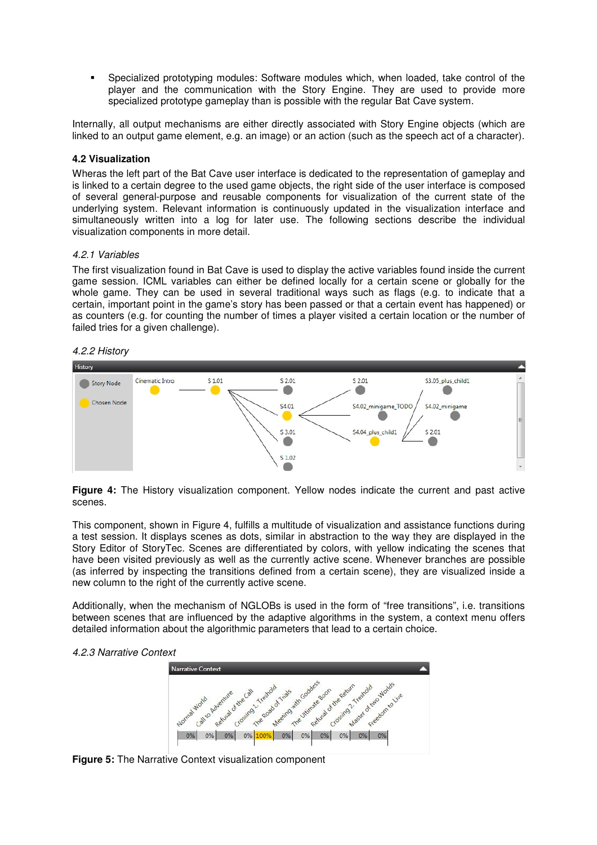Specialized prototyping modules: Software modules which, when loaded, take control of the player and the communication with the Story Engine. They are used to provide more specialized prototype gameplay than is possible with the regular Bat Cave system.

Internally, all output mechanisms are either directly associated with Story Engine objects (which are linked to an output game element, e.g. an image) or an action (such as the speech act of a character).

### **4.2 Visualization**

Wheras the left part of the Bat Cave user interface is dedicated to the representation of gameplay and is linked to a certain degree to the used game objects, the right side of the user interface is composed of several general-purpose and reusable components for visualization of the current state of the underlying system. Relevant information is continuously updated in the visualization interface and simultaneously written into a log for later use. The following sections describe the individual visualization components in more detail.

#### 4.2.1 Variables

The first visualization found in Bat Cave is used to display the active variables found inside the current game session. ICML variables can either be defined locally for a certain scene or globally for the whole game. They can be used in several traditional ways such as flags (e.g. to indicate that a certain, important point in the game's story has been passed or that a certain event has happened) or as counters (e.g. for counting the number of times a player visited a certain location or the number of failed tries for a given challenge).

#### 4.2.2 History



**Figure 4:** The History visualization component. Yellow nodes indicate the current and past active scenes.

This component, shown in Figure 4, fulfills a multitude of visualization and assistance functions during a test session. It displays scenes as dots, similar in abstraction to the way they are displayed in the Story Editor of StoryTec. Scenes are differentiated by colors, with yellow indicating the scenes that have been visited previously as well as the currently active scene. Whenever branches are possible (as inferred by inspecting the transitions defined from a certain scene), they are visualized inside a new column to the right of the currently active scene.

Additionally, when the mechanism of NGLOBs is used in the form of "free transitions", i.e. transitions between scenes that are influenced by the adaptive algorithms in the system, a context menu offers detailed information about the algorithmic parameters that lead to a certain choice.

#### 4.2.3 Narrative Context



**Figure 5:** The Narrative Context visualization component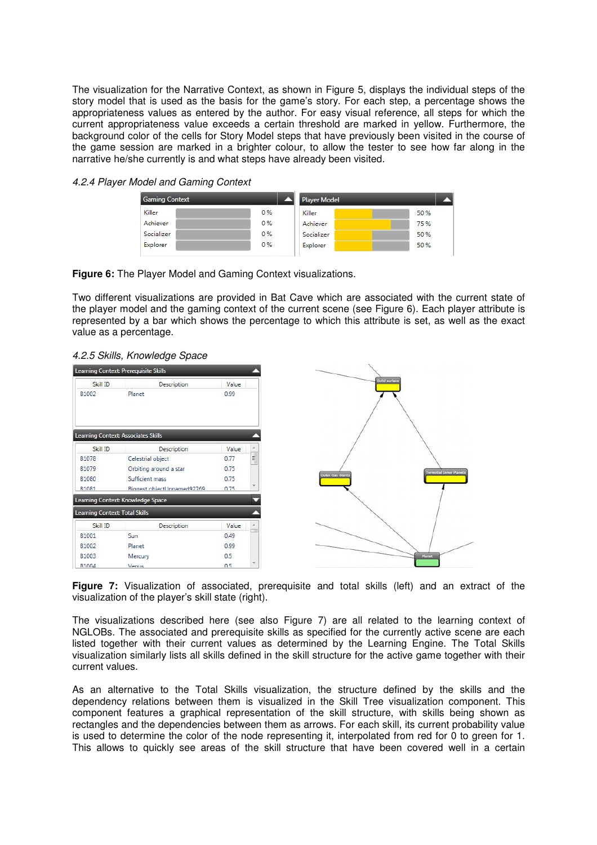The visualization for the Narrative Context, as shown in Figure 5, displays the individual steps of the story model that is used as the basis for the game's story. For each step, a percentage shows the appropriateness values as entered by the author. For easy visual reference, all steps for which the current appropriateness value exceeds a certain threshold are marked in yellow. Furthermore, the background color of the cells for Story Model steps that have previously been visited in the course of the game session are marked in a brighter colour, to allow the tester to see how far along in the narrative he/she currently is and what steps have already been visited.

| <b>Gaming Context</b> |    | <b>Player Model</b> |      |
|-----------------------|----|---------------------|------|
| Killer                | 0% | Killer              | 50 % |
| Achiever              | 0% | Achiever            | 75 % |
| Socializer            | 0% | Socializer          | 50 % |
| Explorer              | 0% | Explorer            | 50 % |

| 4.2.4 Player Model and Gaming Context |  |  |  |  |
|---------------------------------------|--|--|--|--|
|---------------------------------------|--|--|--|--|



Two different visualizations are provided in Bat Cave which are associated with the current state of the player model and the gaming context of the current scene (see Figure 6). Each player attribute is represented by a bar which shows the percentage to which this attribute is set, as well as the exact value as a percentage.

| 4.2.5 Skills, Knowledge Space |
|-------------------------------|
|-------------------------------|

|                                | Learning Context: Prerequisite Skills |       |          |
|--------------------------------|---------------------------------------|-------|----------|
| Skill ID                       | Description                           | Value |          |
| B1002                          | Planet                                | 0.99  |          |
|                                | Learning Context: Associates Skills   |       |          |
| Skill ID                       | Description                           | Value |          |
| B1078                          | Celestrial object                     | 0.77  | $\equiv$ |
| B1079                          | Orbiting around a star                | 0.75  |          |
| <b>B1080</b>                   | Sufficient mass                       | 0.75  |          |
| R1081                          | Riggest object Innamed92769           | 0.75  |          |
|                                | Learning Context: Knowledge Space     |       |          |
| Learning Context: Total Skills |                                       |       |          |
| Skill ID                       | Description                           | Value |          |
| B1001                          | Sun                                   | 0.49  |          |
| B1002                          | Planet                                | 0.99  |          |
| B1003                          | Mercury                               | 0.5   |          |
| R1004                          | Venus                                 | 0.5   |          |

**Figure 7:** Visualization of associated, prerequisite and total skills (left) and an extract of the visualization of the player's skill state (right).

The visualizations described here (see also Figure 7) are all related to the learning context of NGLOBs. The associated and prerequisite skills as specified for the currently active scene are each listed together with their current values as determined by the Learning Engine. The Total Skills visualization similarly lists all skills defined in the skill structure for the active game together with their current values.

As an alternative to the Total Skills visualization, the structure defined by the skills and the dependency relations between them is visualized in the Skill Tree visualization component. This component features a graphical representation of the skill structure, with skills being shown as rectangles and the dependencies between them as arrows. For each skill, its current probability value is used to determine the color of the node representing it, interpolated from red for 0 to green for 1. This allows to quickly see areas of the skill structure that have been covered well in a certain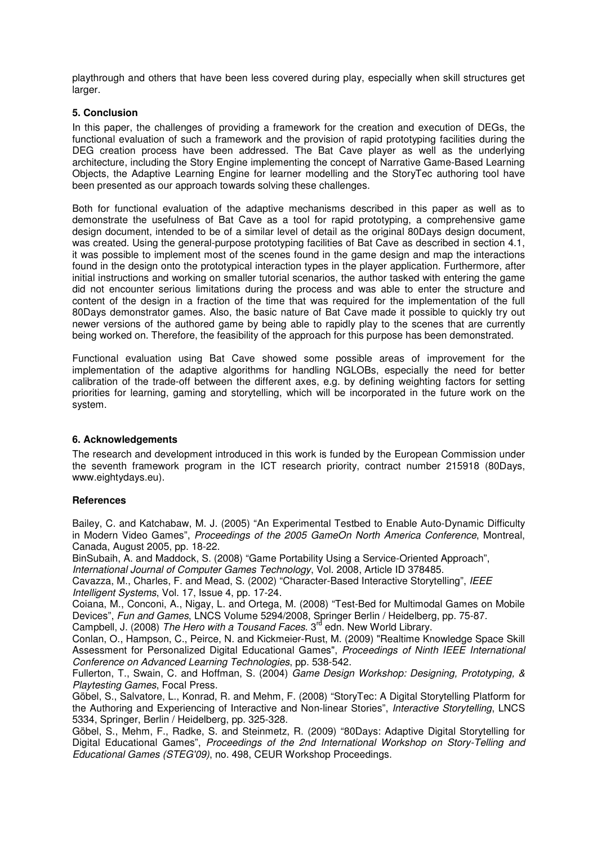playthrough and others that have been less covered during play, especially when skill structures get larger.

### **5. Conclusion**

In this paper, the challenges of providing a framework for the creation and execution of DEGs, the functional evaluation of such a framework and the provision of rapid prototyping facilities during the DEG creation process have been addressed. The Bat Cave player as well as the underlying architecture, including the Story Engine implementing the concept of Narrative Game-Based Learning Objects, the Adaptive Learning Engine for learner modelling and the StoryTec authoring tool have been presented as our approach towards solving these challenges.

Both for functional evaluation of the adaptive mechanisms described in this paper as well as to demonstrate the usefulness of Bat Cave as a tool for rapid prototyping, a comprehensive game design document, intended to be of a similar level of detail as the original 80Days design document, was created. Using the general-purpose prototyping facilities of Bat Cave as described in section 4.1, it was possible to implement most of the scenes found in the game design and map the interactions found in the design onto the prototypical interaction types in the player application. Furthermore, after initial instructions and working on smaller tutorial scenarios, the author tasked with entering the game did not encounter serious limitations during the process and was able to enter the structure and content of the design in a fraction of the time that was required for the implementation of the full 80Days demonstrator games. Also, the basic nature of Bat Cave made it possible to quickly try out newer versions of the authored game by being able to rapidly play to the scenes that are currently being worked on. Therefore, the feasibility of the approach for this purpose has been demonstrated.

Functional evaluation using Bat Cave showed some possible areas of improvement for the implementation of the adaptive algorithms for handling NGLOBs, especially the need for better calibration of the trade-off between the different axes, e.g. by defining weighting factors for setting priorities for learning, gaming and storytelling, which will be incorporated in the future work on the system.

## **6. Acknowledgements**

The research and development introduced in this work is funded by the European Commission under the seventh framework program in the ICT research priority, contract number 215918 (80Days, www.eightydays.eu).

#### **References**

Bailey, C. and Katchabaw, M. J. (2005) "An Experimental Testbed to Enable Auto-Dynamic Difficulty in Modern Video Games", Proceedings of the 2005 GameOn North America Conference, Montreal, Canada, August 2005, pp. 18-22.

BinSubaih, A. and Maddock, S. (2008) "Game Portability Using a Service-Oriented Approach",

International Journal of Computer Games Technology, Vol. 2008, Article ID 378485.

Cavazza, M., Charles, F. and Mead, S. (2002) "Character-Based Interactive Storytelling", IEEE Intelligent Systems, Vol. 17, Issue 4, pp. 17-24.

Coiana, M., Conconi, A., Nigay, L. and Ortega, M. (2008) "Test-Bed for Multimodal Games on Mobile Devices", Fun and Games, LNCS Volume 5294/2008, Springer Berlin / Heidelberg, pp. 75-87.

Campbell, J. (2008) The Hero with a Tousand Faces. 3<sup>rd</sup> edn. New World Library.

Conlan, O., Hampson, C., Peirce, N. and Kickmeier-Rust, M. (2009) "Realtime Knowledge Space Skill Assessment for Personalized Digital Educational Games", Proceedings of Ninth IEEE International Conference on Advanced Learning Technologies, pp. 538-542.

Fullerton, T., Swain, C. and Hoffman, S. (2004) Game Design Workshop: Designing, Prototyping, & Playtesting Games, Focal Press.

Göbel, S., Salvatore, L., Konrad, R. and Mehm, F. (2008) "StoryTec: A Digital Storytelling Platform for the Authoring and Experiencing of Interactive and Non-linear Stories", Interactive Storytelling, LNCS 5334, Springer, Berlin / Heidelberg, pp. 325-328.

Göbel, S., Mehm, F., Radke, S. and Steinmetz, R. (2009) "80Days: Adaptive Digital Storytelling for Digital Educational Games", Proceedings of the 2nd International Workshop on Story-Telling and Educational Games (STEG'09), no. 498, CEUR Workshop Proceedings.